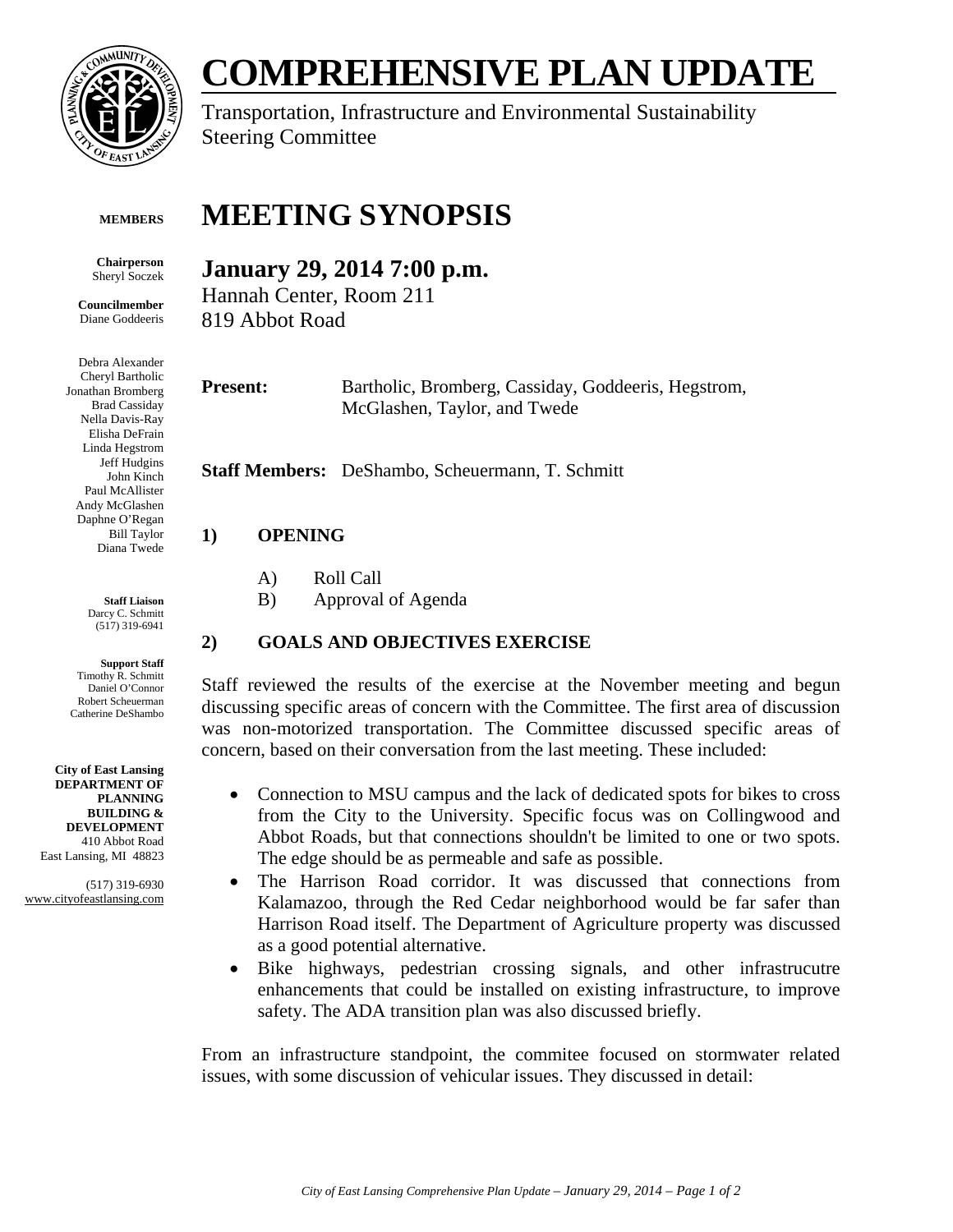

**Chairperson**  Sheryl Soczek **Councilmember**  Diane Goddeeris

# **COMPREHENSIVE PLAN UPDATE**

Transportation, Infrastructure and Environmental Sustainability Steering Committee

#### **MEETING SYNOPSIS MEMBERS**

# **January 29, 2014 7:00 p.m.**

Hannah Center, Room 211 819 Abbot Road

**Present:** Bartholic, Bromberg, Cassiday, Goddeeris, Hegstrom, McGlashen, Taylor, and Twede

**Staff Members:** DeShambo, Scheuermann, T. Schmitt

## **1) OPENING**

- A) Roll Call
- B) Approval of Agenda

## **2) GOALS AND OBJECTIVES EXERCISE**

Staff reviewed the results of the exercise at the November meeting and begun discussing specific areas of concern with the Committee. The first area of discussion was non-motorized transportation. The Committee discussed specific areas of concern, based on their conversation from the last meeting. These included:

- Connection to MSU campus and the lack of dedicated spots for bikes to cross from the City to the University. Specific focus was on Collingwood and Abbot Roads, but that connections shouldn't be limited to one or two spots. The edge should be as permeable and safe as possible.
- The Harrison Road corridor. It was discussed that connections from Kalamazoo, through the Red Cedar neighborhood would be far safer than Harrison Road itself. The Department of Agriculture property was discussed as a good potential alternative.
- Bike highways, pedestrian crossing signals, and other infrastrucutre enhancements that could be installed on existing infrastructure, to improve safety. The ADA transition plan was also discussed briefly.

From an infrastructure standpoint, the commitee focused on stormwater related issues, with some discussion of vehicular issues. They discussed in detail:

Cheryl Bartholic Jonathan Bromberg Brad Cassiday Nella Davis-Ray Elisha DeFrain Linda Hegstrom Jeff Hudgins John Kinch Paul McAllister Andy McGlashen Daphne O'Regan Bill Taylor Diana Twede

Debra Alexander

**Staff Liaison**  Darcy C. Schmitt (517) 319-6941

**Support Staff**  Timothy R. Schmitt Daniel O'Connor Robert Scheuerman Catherine DeShambo

**City of East Lansing DEPARTMENT OF PLANNING BUILDING & DEVELOPMENT**  410 Abbot Road East Lansing, MI 48823

(517) 319-6930 www.cityofeastlansing.com